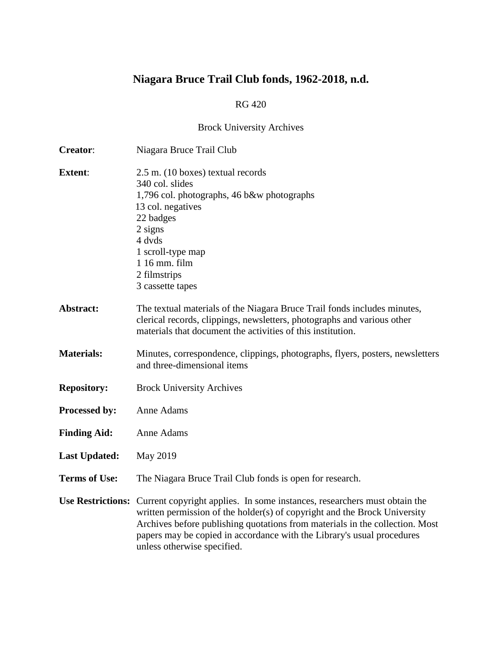# **Niagara Bruce Trail Club fonds, 1962-2018, n.d.**

## RG 420

# Brock University Archives

| <b>Creator:</b>      | Niagara Bruce Trail Club                                                                                                                                                                                                                                                                                                                                          |  |
|----------------------|-------------------------------------------------------------------------------------------------------------------------------------------------------------------------------------------------------------------------------------------------------------------------------------------------------------------------------------------------------------------|--|
| <b>Extent:</b>       | 2.5 m. (10 boxes) textual records<br>340 col. slides<br>1,796 col. photographs, 46 b&w photographs<br>13 col. negatives<br>22 badges<br>$2$ signs<br>4 dvds<br>1 scroll-type map<br>1 16 mm. film<br>2 filmstrips<br>3 cassette tapes                                                                                                                             |  |
| Abstract:            | The textual materials of the Niagara Bruce Trail fonds includes minutes,<br>clerical records, clippings, newsletters, photographs and various other<br>materials that document the activities of this institution.                                                                                                                                                |  |
| <b>Materials:</b>    | Minutes, correspondence, clippings, photographs, flyers, posters, newsletters<br>and three-dimensional items                                                                                                                                                                                                                                                      |  |
| <b>Repository:</b>   | <b>Brock University Archives</b>                                                                                                                                                                                                                                                                                                                                  |  |
| Processed by:        | Anne Adams                                                                                                                                                                                                                                                                                                                                                        |  |
| <b>Finding Aid:</b>  | Anne Adams                                                                                                                                                                                                                                                                                                                                                        |  |
| <b>Last Updated:</b> | <b>May 2019</b>                                                                                                                                                                                                                                                                                                                                                   |  |
| <b>Terms of Use:</b> | The Niagara Bruce Trail Club fonds is open for research.                                                                                                                                                                                                                                                                                                          |  |
|                      | Use Restrictions: Current copyright applies. In some instances, researchers must obtain the<br>written permission of the holder(s) of copyright and the Brock University<br>Archives before publishing quotations from materials in the collection. Most<br>papers may be copied in accordance with the Library's usual procedures<br>unless otherwise specified. |  |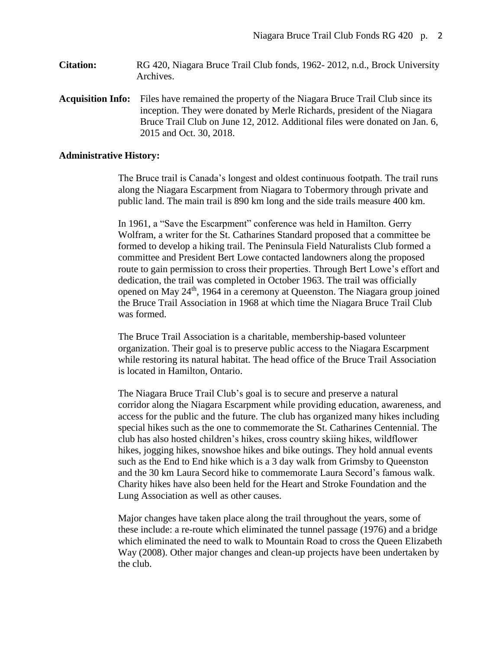- **Citation:** RG 420, Niagara Bruce Trail Club fonds, 1962- 2012, n.d., Brock University Archives.
- **Acquisition Info:** Files have remained the property of the Niagara Bruce Trail Club since its inception. They were donated by Merle Richards, president of the Niagara Bruce Trail Club on June 12, 2012. Additional files were donated on Jan. 6, 2015 and Oct. 30, 2018.

## **Administrative History:**

The Bruce trail is Canada's longest and oldest continuous footpath. The trail runs along the Niagara Escarpment from Niagara to Tobermory through private and public land. The main trail is 890 km long and the side trails measure 400 km.

In 1961, a "Save the Escarpment" conference was held in Hamilton. Gerry Wolfram, a writer for the St. Catharines Standard proposed that a committee be formed to develop a hiking trail. The Peninsula Field Naturalists Club formed a committee and President Bert Lowe contacted landowners along the proposed route to gain permission to cross their properties. Through Bert Lowe's effort and dedication, the trail was completed in October 1963. The trail was officially opened on May  $24<sup>th</sup>$ , 1964 in a ceremony at Queenston. The Niagara group joined the Bruce Trail Association in 1968 at which time the Niagara Bruce Trail Club was formed.

The Bruce Trail Association is a charitable, membership-based volunteer organization. Their goal is to preserve public access to the Niagara Escarpment while restoring its natural habitat. The head office of the Bruce Trail Association is located in Hamilton, Ontario.

The Niagara Bruce Trail Club's goal is to secure and preserve a natural corridor along the Niagara Escarpment while providing education, awareness, and access for the public and the future. The club has organized many hikes including special hikes such as the one to commemorate the St. Catharines Centennial. The club has also hosted children's hikes, cross country skiing hikes, wildflower hikes, jogging hikes, snowshoe hikes and bike outings. They hold annual events such as the End to End hike which is a 3 day walk from Grimsby to Queenston and the 30 km Laura Secord hike to commemorate Laura Secord's famous walk. Charity hikes have also been held for the Heart and Stroke Foundation and the Lung Association as well as other causes.

Major changes have taken place along the trail throughout the years, some of these include: a re-route which eliminated the tunnel passage (1976) and a bridge which eliminated the need to walk to Mountain Road to cross the Queen Elizabeth Way (2008). Other major changes and clean-up projects have been undertaken by the club.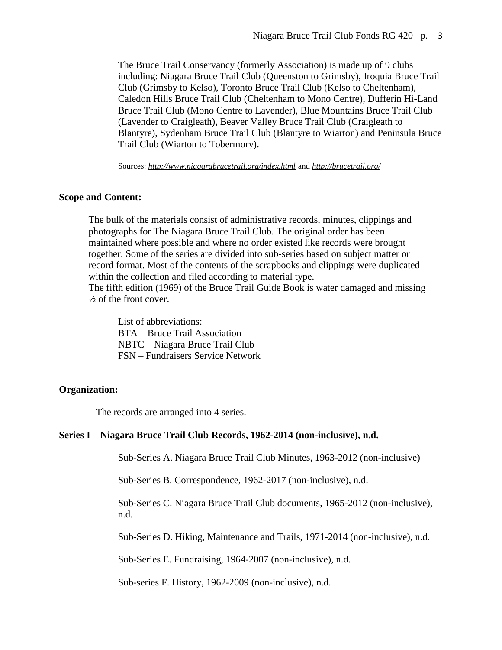The Bruce Trail Conservancy (formerly Association) is made up of 9 clubs including: Niagara Bruce Trail Club (Queenston to Grimsby), Iroquia Bruce Trail Club (Grimsby to Kelso), Toronto Bruce Trail Club (Kelso to Cheltenham), Caledon Hills Bruce Trail Club (Cheltenham to Mono Centre), Dufferin Hi-Land Bruce Trail Club (Mono Centre to Lavender), Blue Mountains Bruce Trail Club (Lavender to Craigleath), Beaver Valley Bruce Trail Club (Craigleath to Blantyre), Sydenham Bruce Trail Club (Blantyre to Wiarton) and Peninsula Bruce Trail Club (Wiarton to Tobermory).

Sources: *<http://www.niagarabrucetrail.org/index.html>* and *<http://brucetrail.org/>*

#### **Scope and Content:**

The bulk of the materials consist of administrative records, minutes, clippings and photographs for The Niagara Bruce Trail Club. The original order has been maintained where possible and where no order existed like records were brought together. Some of the series are divided into sub-series based on subject matter or record format. Most of the contents of the scrapbooks and clippings were duplicated within the collection and filed according to material type.

The fifth edition (1969) of the Bruce Trail Guide Book is water damaged and missing  $\frac{1}{2}$  of the front cover.

 List of abbreviations: BTA – Bruce Trail Association NBTC – Niagara Bruce Trail Club FSN – Fundraisers Service Network

## **Organization:**

The records are arranged into 4 series.

#### **Series I – Niagara Bruce Trail Club Records, 1962-2014 (non-inclusive), n.d.**

Sub-Series A. Niagara Bruce Trail Club Minutes, 1963-2012 (non-inclusive)

Sub-Series B. Correspondence, 1962-2017 (non-inclusive), n.d.

Sub-Series C. Niagara Bruce Trail Club documents, 1965-2012 (non-inclusive), n.d.

Sub-Series D. Hiking, Maintenance and Trails, 1971-2014 (non-inclusive), n.d.

Sub-Series E. Fundraising, 1964-2007 (non-inclusive), n.d.

Sub-series F. History, 1962-2009 (non-inclusive), n.d.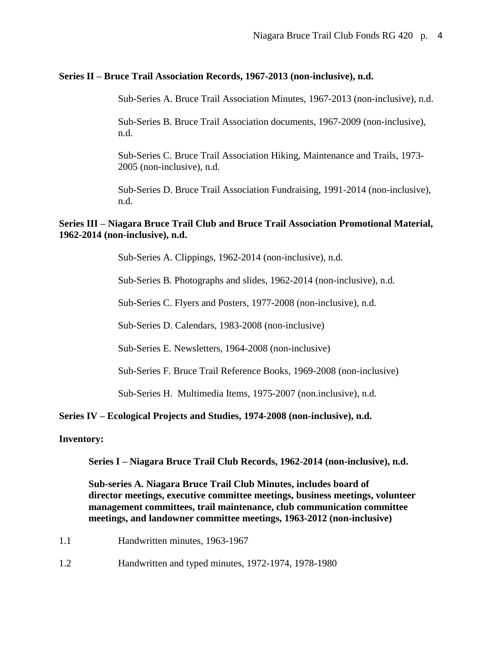## **Series II – Bruce Trail Association Records, 1967-2013 (non-inclusive), n.d.**

Sub-Series A. Bruce Trail Association Minutes, 1967-2013 (non-inclusive), n.d.

 Sub-Series B. Bruce Trail Association documents, 1967-2009 (non-inclusive), n.d.

 Sub-Series C. Bruce Trail Association Hiking, Maintenance and Trails, 1973- 2005 (non-inclusive), n.d.

 Sub-Series D. Bruce Trail Association Fundraising, 1991-2014 (non-inclusive), n.d.

## **Series III – Niagara Bruce Trail Club and Bruce Trail Association Promotional Material, 1962-2014 (non-inclusive), n.d.**

Sub-Series A. Clippings, 1962-2014 (non-inclusive), n.d.

Sub-Series B. Photographs and slides, 1962-2014 (non-inclusive), n.d.

Sub-Series C. Flyers and Posters, 1977-2008 (non-inclusive), n.d.

Sub-Series D. Calendars, 1983-2008 (non-inclusive)

Sub-Series E. Newsletters, 1964-2008 (non-inclusive)

Sub-Series F. Bruce Trail Reference Books, 1969-2008 (non-inclusive)

Sub-Series H. Multimedia Items, 1975-2007 (non.inclusive), n.d.

## **Series IV – Ecological Projects and Studies, 1974-2008 (non-inclusive), n.d.**

**Inventory:**

 **Series I – Niagara Bruce Trail Club Records, 1962-2014 (non-inclusive), n.d.**

 **Sub-series A. Niagara Bruce Trail Club Minutes, includes board of director meetings, executive committee meetings, business meetings, volunteer management committees, trail maintenance, club communication committee meetings, and landowner committee meetings, 1963-2012 (non-inclusive)**

- 1.1 Handwritten minutes, 1963-1967
- 1.2 Handwritten and typed minutes, 1972-1974, 1978-1980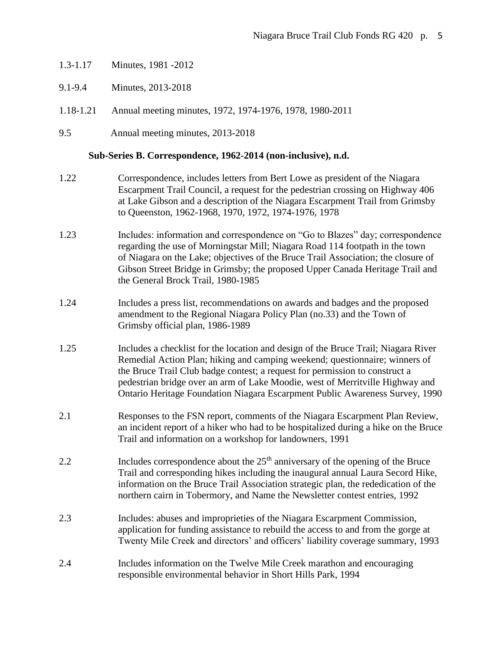- 1.3-1.17 Minutes, 1981 -2012
- 9.1-9.4 Minutes, 2013-2018
- 1.18-1.21 Annual meeting minutes, 1972, 1974-1976, 1978, 1980-2011
- 9.5 Annual meeting minutes, 2013-2018

## **Sub-Series B. Correspondence, 1962-2014 (non-inclusive), n.d.**

- 1.22 Correspondence, includes letters from Bert Lowe as president of the Niagara Escarpment Trail Council, a request for the pedestrian crossing on Highway 406 at Lake Gibson and a description of the Niagara Escarpment Trail from Grimsby to Queenston, 1962-1968, 1970, 1972, 1974-1976, 1978
- 1.23 Includes: information and correspondence on "Go to Blazes" day; correspondence regarding the use of Morningstar Mill; Niagara Road 114 footpath in the town of Niagara on the Lake; objectives of the Bruce Trail Association; the closure of Gibson Street Bridge in Grimsby; the proposed Upper Canada Heritage Trail and the General Brock Trail, 1980-1985
- 1.24 Includes a press list, recommendations on awards and badges and the proposed amendment to the Regional Niagara Policy Plan (no.33) and the Town of Grimsby official plan, 1986-1989
- 1.25 Includes a checklist for the location and design of the Bruce Trail; Niagara River Remedial Action Plan; hiking and camping weekend; questionnaire; winners of the Bruce Trail Club badge contest; a request for permission to construct a pedestrian bridge over an arm of Lake Moodie, west of Merritville Highway and Ontario Heritage Foundation Niagara Escarpment Public Awareness Survey, 1990
- 2.1 Responses to the FSN report, comments of the Niagara Escarpment Plan Review, an incident report of a hiker who had to be hospitalized during a hike on the Bruce Trail and information on a workshop for landowners, 1991
- 2.2 Includes correspondence about the  $25<sup>th</sup>$  anniversary of the opening of the Bruce Trail and corresponding hikes including the inaugural annual Laura Secord Hike, information on the Bruce Trail Association strategic plan, the rededication of the northern cairn in Tobermory, and Name the Newsletter contest entries, 1992
- 2.3 Includes: abuses and improprieties of the Niagara Escarpment Commission, application for funding assistance to rebuild the access to and from the gorge at Twenty Mile Creek and directors' and officers' liability coverage summary, 1993
- 2.4 Includes information on the Twelve Mile Creek marathon and encouraging responsible environmental behavior in Short Hills Park, 1994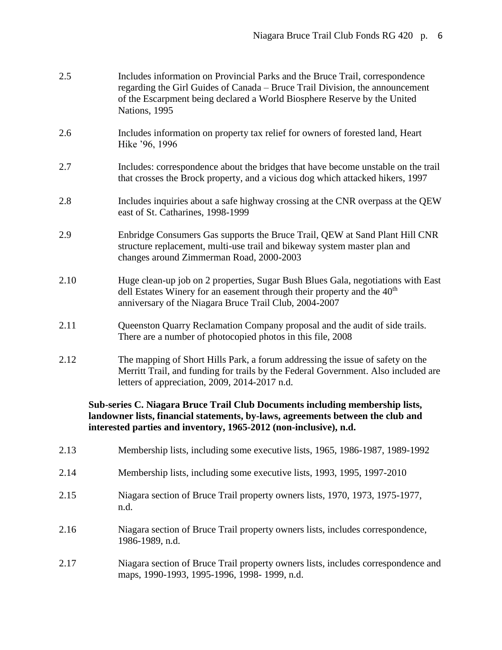| 2.5  | Includes information on Provincial Parks and the Bruce Trail, correspondence<br>regarding the Girl Guides of Canada – Bruce Trail Division, the announcement<br>of the Escarpment being declared a World Biosphere Reserve by the United<br>Nations, 1995 |
|------|-----------------------------------------------------------------------------------------------------------------------------------------------------------------------------------------------------------------------------------------------------------|
| 2.6  | Includes information on property tax relief for owners of forested land, Heart<br>Hike '96, 1996                                                                                                                                                          |
| 2.7  | Includes: correspondence about the bridges that have become unstable on the trail<br>that crosses the Brock property, and a vicious dog which attacked hikers, 1997                                                                                       |
| 2.8  | Includes inquiries about a safe highway crossing at the CNR overpass at the QEW<br>east of St. Catharines, 1998-1999                                                                                                                                      |
| 2.9  | Enbridge Consumers Gas supports the Bruce Trail, QEW at Sand Plant Hill CNR<br>structure replacement, multi-use trail and bikeway system master plan and<br>changes around Zimmerman Road, 2000-2003                                                      |
| 2.10 | Huge clean-up job on 2 properties, Sugar Bush Blues Gala, negotiations with East<br>dell Estates Winery for an easement through their property and the $40th$<br>anniversary of the Niagara Bruce Trail Club, 2004-2007                                   |
| 2.11 | Queenston Quarry Reclamation Company proposal and the audit of side trails.<br>There are a number of photocopied photos in this file, 2008                                                                                                                |
| 2.12 | The mapping of Short Hills Park, a forum addressing the issue of safety on the<br>Merritt Trail, and funding for trails by the Federal Government. Also included are<br>letters of appreciation, 2009, 2014-2017 n.d.                                     |
|      | Sub-series C. Niagara Bruce Trail Club Documents including membership lists,<br>landowner lists, financial statements, by-laws, agreements between the club and<br>interested parties and inventory, 1965-2012 (non-inclusive), n.d.                      |
| 2.13 | Membership lists, including some executive lists, 1965, 1986-1987, 1989-1992                                                                                                                                                                              |
| 2.14 | Membership lists, including some executive lists, 1993, 1995, 1997-2010                                                                                                                                                                                   |
| 2.15 | Niagara section of Bruce Trail property owners lists, 1970, 1973, 1975-1977,<br>n.d.                                                                                                                                                                      |
| 2.16 | Niagara section of Bruce Trail property owners lists, includes correspondence,<br>1986-1989, n.d.                                                                                                                                                         |
| 2.17 | Niagara section of Bruce Trail property owners lists, includes correspondence and<br>maps, 1990-1993, 1995-1996, 1998-1999, n.d.                                                                                                                          |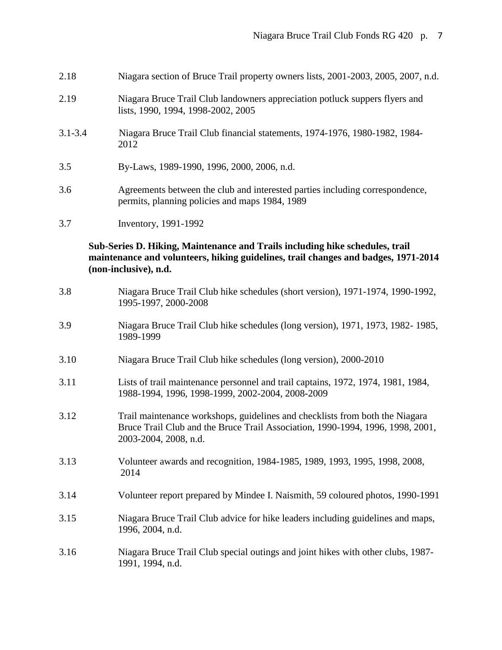| 2.18        | Niagara section of Bruce Trail property owners lists, 2001-2003, 2005, 2007, n.d.                                                                                                           |  |
|-------------|---------------------------------------------------------------------------------------------------------------------------------------------------------------------------------------------|--|
| 2.19        | Niagara Bruce Trail Club landowners appreciation potluck suppers flyers and<br>lists, 1990, 1994, 1998-2002, 2005                                                                           |  |
| $3.1 - 3.4$ | Niagara Bruce Trail Club financial statements, 1974-1976, 1980-1982, 1984-<br>2012                                                                                                          |  |
| 3.5         | By-Laws, 1989-1990, 1996, 2000, 2006, n.d.                                                                                                                                                  |  |
| 3.6         | Agreements between the club and interested parties including correspondence,<br>permits, planning policies and maps 1984, 1989                                                              |  |
| 3.7         | Inventory, 1991-1992                                                                                                                                                                        |  |
|             | Sub-Series D. Hiking, Maintenance and Trails including hike schedules, trail<br>maintenance and volunteers, hiking guidelines, trail changes and badges, 1971-2014<br>(non-inclusive), n.d. |  |
| 3.8         | Niagara Bruce Trail Club hike schedules (short version), 1971-1974, 1990-1992,<br>1995-1997, 2000-2008                                                                                      |  |
| 3.9         | Niagara Bruce Trail Club hike schedules (long version), 1971, 1973, 1982-1985,<br>1989-1999                                                                                                 |  |
| 3.10        | Niagara Bruce Trail Club hike schedules (long version), 2000-2010                                                                                                                           |  |
| 3.11        | Lists of trail maintenance personnel and trail captains, 1972, 1974, 1981, 1984,<br>1988-1994, 1996, 1998-1999, 2002-2004, 2008-2009                                                        |  |
| 3.12        | Trail maintenance workshops, guidelines and checklists from both the Niagara<br>Bruce Trail Club and the Bruce Trail Association, 1990-1994, 1996, 1998, 2001,<br>2003-2004, 2008, n.d.     |  |
| 3.13        | Volunteer awards and recognition, 1984-1985, 1989, 1993, 1995, 1998, 2008,<br>2014                                                                                                          |  |
| 3.14        | Volunteer report prepared by Mindee I. Naismith, 59 coloured photos, 1990-1991                                                                                                              |  |
| 3.15        | Niagara Bruce Trail Club advice for hike leaders including guidelines and maps,<br>1996, 2004, n.d.                                                                                         |  |
| 3.16        | Niagara Bruce Trail Club special outings and joint hikes with other clubs, 1987-<br>1991, 1994, n.d.                                                                                        |  |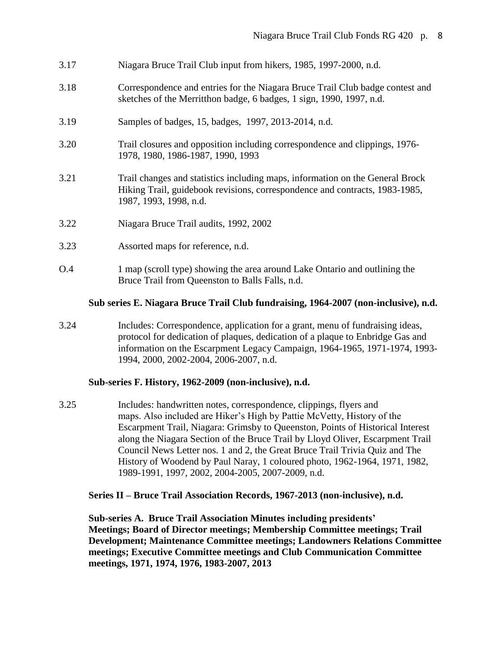- 3.17 Niagara Bruce Trail Club input from hikers, 1985, 1997-2000, n.d.
- 3.18 Correspondence and entries for the Niagara Bruce Trail Club badge contest and sketches of the Merritthon badge, 6 badges, 1 sign, 1990, 1997, n.d.
- 3.19 Samples of badges, 15, badges, 1997, 2013-2014, n.d.
- 3.20 Trail closures and opposition including correspondence and clippings, 1976- 1978, 1980, 1986-1987, 1990, 1993
- 3.21 Trail changes and statistics including maps, information on the General Brock Hiking Trail, guidebook revisions, correspondence and contracts, 1983-1985, 1987, 1993, 1998, n.d.
- 3.22 Niagara Bruce Trail audits, 1992, 2002
- 3.23 Assorted maps for reference, n.d.
- O.4 1 map (scroll type) showing the area around Lake Ontario and outlining the Bruce Trail from Queenston to Balls Falls, n.d.

## **Sub series E. Niagara Bruce Trail Club fundraising, 1964-2007 (non-inclusive), n.d.**

3.24 Includes: Correspondence, application for a grant, menu of fundraising ideas, protocol for dedication of plaques, dedication of a plaque to Enbridge Gas and information on the Escarpment Legacy Campaign, 1964-1965, 1971-1974, 1993- 1994, 2000, 2002-2004, 2006-2007, n.d.

## **Sub-series F. History, 1962-2009 (non-inclusive), n.d.**

3.25 Includes: handwritten notes, correspondence, clippings, flyers and maps. Also included are Hiker's High by Pattie McVetty, History of the Escarpment Trail, Niagara: Grimsby to Queenston, Points of Historical Interest along the Niagara Section of the Bruce Trail by Lloyd Oliver, Escarpment Trail Council News Letter nos. 1 and 2, the Great Bruce Trail Trivia Quiz and The History of Woodend by Paul Naray, 1 coloured photo, 1962-1964, 1971, 1982, 1989-1991, 1997, 2002, 2004-2005, 2007-2009, n.d.

## **Series II – Bruce Trail Association Records, 1967-2013 (non-inclusive), n.d.**

 **Sub-series A. Bruce Trail Association Minutes including presidents' Meetings; Board of Director meetings; Membership Committee meetings; Trail Development; Maintenance Committee meetings; Landowners Relations Committee meetings; Executive Committee meetings and Club Communication Committee meetings, 1971, 1974, 1976, 1983-2007, 2013**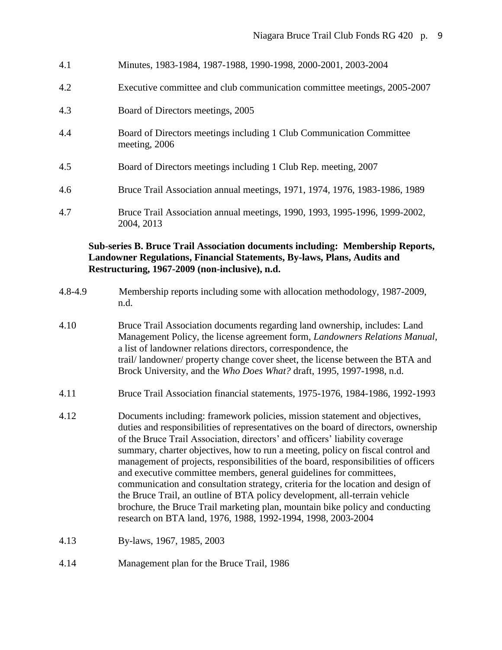- 4.1 Minutes, 1983-1984, 1987-1988, 1990-1998, 2000-2001, 2003-2004
- 4.2 Executive committee and club communication committee meetings, 2005-2007
- 4.3 Board of Directors meetings, 2005
- 4.4 Board of Directors meetings including 1 Club Communication Committee meeting, 2006
- 4.5 Board of Directors meetings including 1 Club Rep. meeting, 2007
- 4.6 Bruce Trail Association annual meetings, 1971, 1974, 1976, 1983-1986, 1989
- 4.7 Bruce Trail Association annual meetings, 1990, 1993, 1995-1996, 1999-2002, 2004, 2013

## **Sub-series B. Bruce Trail Association documents including: Membership Reports, Landowner Regulations, Financial Statements, By-laws, Plans, Audits and Restructuring, 1967-2009 (non-inclusive), n.d.**

- 4.8-4.9 Membership reports including some with allocation methodology, 1987-2009, n.d.
- 4.10 Bruce Trail Association documents regarding land ownership, includes: Land Management Policy, the license agreement form, *Landowners Relations Manual*, a list of landowner relations directors, correspondence, the trail/ landowner/ property change cover sheet, the license between the BTA and Brock University, and the *Who Does What?* draft, 1995, 1997-1998, n.d.
- 4.11 Bruce Trail Association financial statements, 1975-1976, 1984-1986, 1992-1993
- 4.12 Documents including: framework policies, mission statement and objectives, duties and responsibilities of representatives on the board of directors, ownership of the Bruce Trail Association, directors' and officers' liability coverage summary, charter objectives, how to run a meeting, policy on fiscal control and management of projects, responsibilities of the board, responsibilities of officers and executive committee members, general guidelines for committees, communication and consultation strategy, criteria for the location and design of the Bruce Trail, an outline of BTA policy development, all-terrain vehicle brochure, the Bruce Trail marketing plan, mountain bike policy and conducting research on BTA land, 1976, 1988, 1992-1994, 1998, 2003-2004
- 4.13 By-laws, 1967, 1985, 2003
- 4.14 Management plan for the Bruce Trail, 1986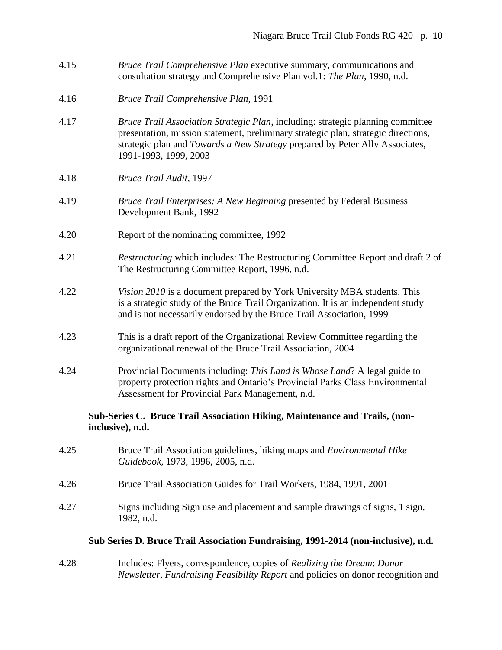- 4.15 *Bruce Trail Comprehensive Plan* executive summary, communications and consultation strategy and Comprehensive Plan vol.1: *The Plan*, 1990, n.d.
- 4.16 *Bruce Trail Comprehensive Plan*, 1991
- 4.17 *Bruce Trail Association Strategic Plan*, including: strategic planning committee presentation, mission statement, preliminary strategic plan, strategic directions, strategic plan and *Towards a New Strategy* prepared by Peter Ally Associates, 1991-1993, 1999, 2003
- 4.18 *Bruce Trail Audit*, 1997
- 4.19 *Bruce Trail Enterprises: A New Beginning* presented by Federal Business Development Bank, 1992
- 4.20 Report of the nominating committee, 1992
- 4.21 *Restructuring* which includes: The Restructuring Committee Report and draft 2 of The Restructuring Committee Report, 1996, n.d.
- 4.22 *Vision 2010* is a document prepared by York University MBA students. This is a strategic study of the Bruce Trail Organization. It is an independent study and is not necessarily endorsed by the Bruce Trail Association, 1999
- 4.23 This is a draft report of the Organizational Review Committee regarding the organizational renewal of the Bruce Trail Association, 2004
- 4.24 Provincial Documents including: *This Land is Whose Land*? A legal guide to property protection rights and Ontario's Provincial Parks Class Environmental Assessment for Provincial Park Management, n.d.

## **Sub-Series C. Bruce Trail Association Hiking, Maintenance and Trails, (non inclusive), n.d.**

- 4.25 Bruce Trail Association guidelines, hiking maps and *Environmental Hike Guidebook,* 1973, 1996, 2005, n.d.
- 4.26 Bruce Trail Association Guides for Trail Workers, 1984, 1991, 2001
- 4.27 Signs including Sign use and placement and sample drawings of signs, 1 sign, 1982, n.d.

#### **Sub Series D. Bruce Trail Association Fundraising, 1991-2014 (non-inclusive), n.d.**

4.28 Includes: Flyers, correspondence, copies of *Realizing the Dream*: *Donor Newsletter*, *Fundraising Feasibility Report* and policies on donor recognition and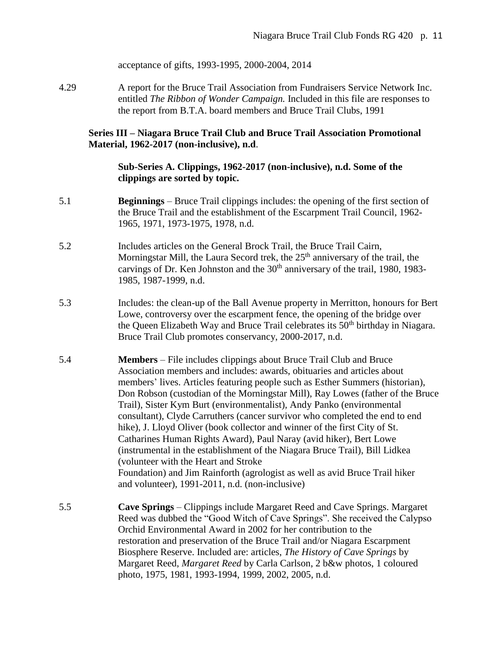acceptance of gifts, 1993-1995, 2000-2004, 2014

4.29 A report for the Bruce Trail Association from Fundraisers Service Network Inc. entitled *The Ribbon of Wonder Campaign.* Included in this file are responses to the report from B.T.A. board members and Bruce Trail Clubs, 1991

## **Series III – Niagara Bruce Trail Club and Bruce Trail Association Promotional Material, 1962-2017 (non-inclusive), n.d**.

## **Sub-Series A. Clippings, 1962-2017 (non-inclusive), n.d. Some of the clippings are sorted by topic.**

- 5.1 **Beginnings** Bruce Trail clippings includes: the opening of the first section of the Bruce Trail and the establishment of the Escarpment Trail Council, 1962- 1965, 1971, 1973-1975, 1978, n.d.
- 5.2 Includes articles on the General Brock Trail, the Bruce Trail Cairn, Morningstar Mill, the Laura Secord trek, the  $25<sup>th</sup>$  anniversary of the trail, the carvings of Dr. Ken Johnston and the  $30<sup>th</sup>$  anniversary of the trail, 1980, 1983-1985, 1987-1999, n.d.
- 5.3 Includes: the clean-up of the Ball Avenue property in Merritton, honours for Bert Lowe, controversy over the escarpment fence, the opening of the bridge over the Queen Elizabeth Way and Bruce Trail celebrates its  $50<sup>th</sup>$  birthday in Niagara. Bruce Trail Club promotes conservancy, 2000-2017, n.d.
- 5.4 **Members** File includes clippings about Bruce Trail Club and Bruce Association members and includes: awards, obituaries and articles about members' lives. Articles featuring people such as Esther Summers (historian), Don Robson (custodian of the Morningstar Mill), Ray Lowes (father of the Bruce Trail), Sister Kym Burt (environmentalist), Andy Panko (environmental consultant), Clyde Carruthers (cancer survivor who completed the end to end hike), J. Lloyd Oliver (book collector and winner of the first City of St. Catharines Human Rights Award), Paul Naray (avid hiker), Bert Lowe (instrumental in the establishment of the Niagara Bruce Trail), Bill Lidkea (volunteer with the Heart and Stroke Foundation) and Jim Rainforth (agrologist as well as avid Bruce Trail hiker and volunteer), 1991-2011, n.d. (non-inclusive)
- 5.5 **Cave Springs** Clippings include Margaret Reed and Cave Springs. Margaret Reed was dubbed the "Good Witch of Cave Springs". She received the Calypso Orchid Environmental Award in 2002 for her contribution to the restoration and preservation of the Bruce Trail and/or Niagara Escarpment Biosphere Reserve. Included are: articles, *The History of Cave Springs* by Margaret Reed, *Margaret Reed* by Carla Carlson, 2 b&w photos, 1 coloured photo, 1975, 1981, 1993-1994, 1999, 2002, 2005, n.d.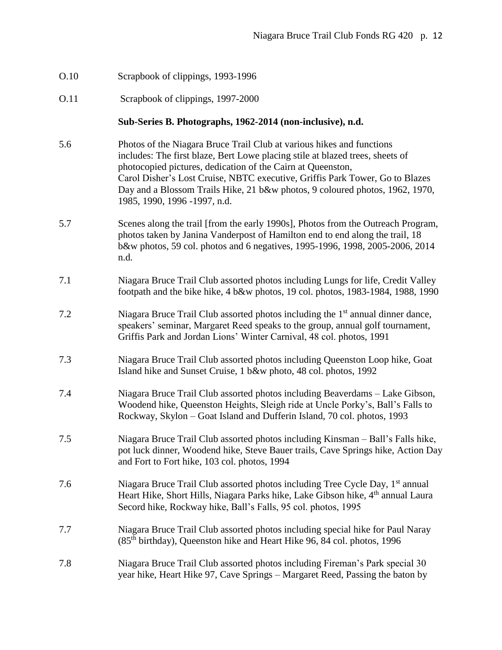- O.10 Scrapbook of clippings, 1993-1996
- O.11 Scrapbook of clippings, 1997-2000

## **Sub-Series B. Photographs, 1962-2014 (non-inclusive), n.d.**

- 5.6 Photos of the Niagara Bruce Trail Club at various hikes and functions includes: The first blaze, Bert Lowe placing stile at blazed trees, sheets of photocopied pictures, dedication of the Cairn at Queenston, Carol Disher's Lost Cruise, NBTC executive, Griffis Park Tower, Go to Blazes Day and a Blossom Trails Hike, 21 b&w photos, 9 coloured photos, 1962, 1970, 1985, 1990, 1996 -1997, n.d.
- 5.7 Scenes along the trail [from the early 1990s], Photos from the Outreach Program, photos taken by Janina Vanderpost of Hamilton end to end along the trail, 18 b&w photos, 59 col. photos and 6 negatives, 1995-1996, 1998, 2005-2006, 2014 n.d.
- 7.1 Niagara Bruce Trail Club assorted photos including Lungs for life, Credit Valley footpath and the bike hike, 4 b&w photos, 19 col. photos, 1983-1984, 1988, 1990
- 7.2 Niagara Bruce Trail Club assorted photos including the 1st annual dinner dance, speakers' seminar, Margaret Reed speaks to the group, annual golf tournament, Griffis Park and Jordan Lions' Winter Carnival, 48 col. photos, 1991
- 7.3 Niagara Bruce Trail Club assorted photos including Queenston Loop hike, Goat Island hike and Sunset Cruise, 1 b&w photo, 48 col. photos, 1992
- 7.4 Niagara Bruce Trail Club assorted photos including Beaverdams Lake Gibson, Woodend hike, Queenston Heights, Sleigh ride at Uncle Porky's, Ball's Falls to Rockway, Skylon – Goat Island and Dufferin Island, 70 col. photos, 1993
- 7.5 Niagara Bruce Trail Club assorted photos including Kinsman Ball's Falls hike, pot luck dinner, Woodend hike, Steve Bauer trails, Cave Springs hike, Action Day and Fort to Fort hike, 103 col. photos, 1994
- 7.6 Niagara Bruce Trail Club assorted photos including Tree Cycle Day, 1<sup>st</sup> annual Heart Hike, Short Hills, Niagara Parks hike, Lake Gibson hike, 4<sup>th</sup> annual Laura Secord hike, Rockway hike, Ball's Falls, 95 col. photos, 1995
- 7.7 Niagara Bruce Trail Club assorted photos including special hike for Paul Naray (85th birthday), Queenston hike and Heart Hike 96, 84 col. photos, 1996
- 7.8 Niagara Bruce Trail Club assorted photos including Fireman's Park special 30 year hike, Heart Hike 97, Cave Springs – Margaret Reed, Passing the baton by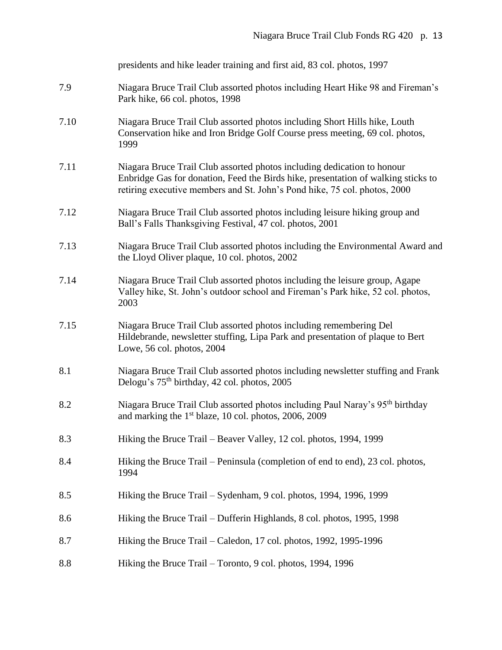|      | presidents and hike leader training and first aid, 83 col. photos, 1997                                                                                                                                                                   |  |  |
|------|-------------------------------------------------------------------------------------------------------------------------------------------------------------------------------------------------------------------------------------------|--|--|
| 7.9  | Niagara Bruce Trail Club assorted photos including Heart Hike 98 and Fireman's<br>Park hike, 66 col. photos, 1998                                                                                                                         |  |  |
| 7.10 | Niagara Bruce Trail Club assorted photos including Short Hills hike, Louth<br>Conservation hike and Iron Bridge Golf Course press meeting, 69 col. photos,<br>1999                                                                        |  |  |
| 7.11 | Niagara Bruce Trail Club assorted photos including dedication to honour<br>Enbridge Gas for donation, Feed the Birds hike, presentation of walking sticks to<br>retiring executive members and St. John's Pond hike, 75 col. photos, 2000 |  |  |
| 7.12 | Niagara Bruce Trail Club assorted photos including leisure hiking group and<br>Ball's Falls Thanksgiving Festival, 47 col. photos, 2001                                                                                                   |  |  |
| 7.13 | Niagara Bruce Trail Club assorted photos including the Environmental Award and<br>the Lloyd Oliver plaque, 10 col. photos, 2002                                                                                                           |  |  |
| 7.14 | Niagara Bruce Trail Club assorted photos including the leisure group, Agape<br>Valley hike, St. John's outdoor school and Fireman's Park hike, 52 col. photos,<br>2003                                                                    |  |  |
| 7.15 | Niagara Bruce Trail Club assorted photos including remembering Del<br>Hildebrande, newsletter stuffing, Lipa Park and presentation of plaque to Bert<br>Lowe, 56 col. photos, 2004                                                        |  |  |
| 8.1  | Niagara Bruce Trail Club assorted photos including newsletter stuffing and Frank<br>Delogu's 75 <sup>th</sup> birthday, 42 col. photos, 2005                                                                                              |  |  |
| 8.2  | Niagara Bruce Trail Club assorted photos including Paul Naray's 95 <sup>th</sup> birthday<br>and marking the 1 <sup>st</sup> blaze, 10 col. photos, 2006, 2009                                                                            |  |  |
| 8.3  | Hiking the Bruce Trail – Beaver Valley, 12 col. photos, 1994, 1999                                                                                                                                                                        |  |  |
| 8.4  | Hiking the Bruce Trail – Peninsula (completion of end to end), 23 col. photos,<br>1994                                                                                                                                                    |  |  |
| 8.5  | Hiking the Bruce Trail – Sydenham, 9 col. photos, 1994, 1996, 1999                                                                                                                                                                        |  |  |
| 8.6  | Hiking the Bruce Trail - Dufferin Highlands, 8 col. photos, 1995, 1998                                                                                                                                                                    |  |  |
| 8.7  | Hiking the Bruce Trail – Caledon, 17 col. photos, 1992, 1995-1996                                                                                                                                                                         |  |  |
| 8.8  | Hiking the Bruce Trail – Toronto, 9 col. photos, 1994, 1996                                                                                                                                                                               |  |  |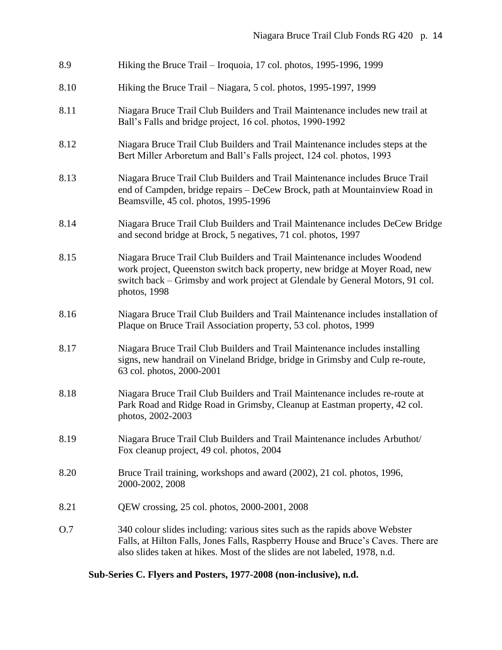| 8.9  | Hiking the Bruce Trail – Iroquoia, 17 col. photos, 1995-1996, 1999                                                                                                                                                                                       |  |  |
|------|----------------------------------------------------------------------------------------------------------------------------------------------------------------------------------------------------------------------------------------------------------|--|--|
| 8.10 | Hiking the Bruce Trail – Niagara, 5 col. photos, 1995-1997, 1999                                                                                                                                                                                         |  |  |
| 8.11 | Niagara Bruce Trail Club Builders and Trail Maintenance includes new trail at<br>Ball's Falls and bridge project, 16 col. photos, 1990-1992                                                                                                              |  |  |
| 8.12 | Niagara Bruce Trail Club Builders and Trail Maintenance includes steps at the<br>Bert Miller Arboretum and Ball's Falls project, 124 col. photos, 1993                                                                                                   |  |  |
| 8.13 | Niagara Bruce Trail Club Builders and Trail Maintenance includes Bruce Trail<br>end of Campden, bridge repairs - DeCew Brock, path at Mountainview Road in<br>Beamsville, 45 col. photos, 1995-1996                                                      |  |  |
| 8.14 | Niagara Bruce Trail Club Builders and Trail Maintenance includes DeCew Bridge<br>and second bridge at Brock, 5 negatives, 71 col. photos, 1997                                                                                                           |  |  |
| 8.15 | Niagara Bruce Trail Club Builders and Trail Maintenance includes Woodend<br>work project, Queenston switch back property, new bridge at Moyer Road, new<br>switch back – Grimsby and work project at Glendale by General Motors, 91 col.<br>photos, 1998 |  |  |
| 8.16 | Niagara Bruce Trail Club Builders and Trail Maintenance includes installation of<br>Plaque on Bruce Trail Association property, 53 col. photos, 1999                                                                                                     |  |  |
| 8.17 | Niagara Bruce Trail Club Builders and Trail Maintenance includes installing<br>signs, new handrail on Vineland Bridge, bridge in Grimsby and Culp re-route,<br>63 col. photos, 2000-2001                                                                 |  |  |
| 8.18 | Niagara Bruce Trail Club Builders and Trail Maintenance includes re-route at<br>Park Road and Ridge Road in Grimsby, Cleanup at Eastman property, 42 col.<br>photos, 2002-2003                                                                           |  |  |
| 8.19 | Niagara Bruce Trail Club Builders and Trail Maintenance includes Arbuthot/<br>Fox cleanup project, 49 col. photos, 2004                                                                                                                                  |  |  |
| 8.20 | Bruce Trail training, workshops and award (2002), 21 col. photos, 1996,<br>2000-2002, 2008                                                                                                                                                               |  |  |
| 8.21 | QEW crossing, 25 col. photos, 2000-2001, 2008                                                                                                                                                                                                            |  |  |
| O.7  | 340 colour slides including: various sites such as the rapids above Webster<br>Falls, at Hilton Falls, Jones Falls, Raspberry House and Bruce's Caves. There are<br>also slides taken at hikes. Most of the slides are not labeled, 1978, n.d.           |  |  |

# **Sub-Series C. Flyers and Posters, 1977-2008 (non-inclusive), n.d.**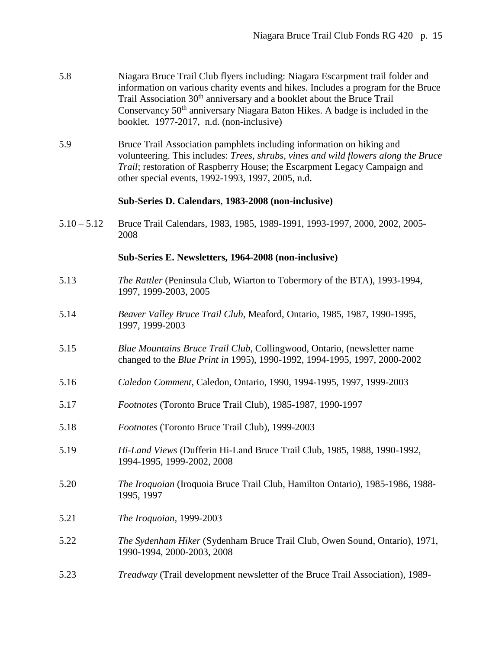| 5.8 | Niagara Bruce Trail Club flyers including: Niagara Escarpment trail folder and     |
|-----|------------------------------------------------------------------------------------|
|     | information on various charity events and hikes. Includes a program for the Bruce  |
|     | Trail Association 30 <sup>th</sup> anniversary and a booklet about the Bruce Trail |
|     | Conservancy $50th$ anniversary Niagara Baton Hikes. A badge is included in the     |
|     | booklet. 1977-2017, n.d. (non-inclusive)                                           |

5.9 Bruce Trail Association pamphlets including information on hiking and volunteering. This includes: *Trees, shrubs, vines and wild flowers along the Bruce Trail*; restoration of Raspberry House; the Escarpment Legacy Campaign and other special events, 1992-1993, 1997, 2005, n.d.

## **Sub-Series D. Calendars**, **1983-2008 (non-inclusive)**

5.10 – 5.12 Bruce Trail Calendars, 1983, 1985, 1989-1991, 1993-1997, 2000, 2002, 2005- 2008

#### **Sub-Series E. Newsletters, 1964-2008 (non-inclusive)**

- 5.13 *The Rattler* (Peninsula Club, Wiarton to Tobermory of the BTA), 1993-1994, 1997, 1999-2003, 2005
- 5.14 *Beaver Valley Bruce Trail Club*, Meaford, Ontario, 1985, 1987, 1990-1995, 1997, 1999-2003
- 5.15 *Blue Mountains Bruce Trail Club*, Collingwood, Ontario, (newsletter name changed to the *Blue Print in* 1995), 1990-1992, 1994-1995, 1997, 2000-2002
- 5.16 *Caledon Comment*, Caledon, Ontario, 1990, 1994-1995, 1997, 1999-2003
- 5.17 *Footnotes* (Toronto Bruce Trail Club), 1985-1987, 1990-1997
- 5.18 *Footnotes* (Toronto Bruce Trail Club), 1999-2003
- 5.19 *Hi-Land Views* (Dufferin Hi-Land Bruce Trail Club, 1985, 1988, 1990-1992, 1994-1995, 1999-2002, 2008
- 5.20 *The Iroquoian* (Iroquoia Bruce Trail Club, Hamilton Ontario), 1985-1986, 1988- 1995, 1997
- 5.21 *The Iroquoian*, 1999-2003
- 5.22 *The Sydenham Hiker* (Sydenham Bruce Trail Club, Owen Sound, Ontario), 1971, 1990-1994, 2000-2003, 2008
- 5.23 *Treadway* (Trail development newsletter of the Bruce Trail Association), 1989-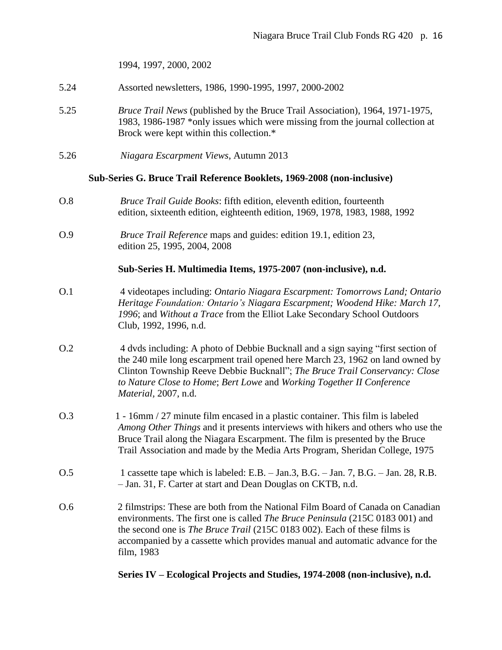1994, 1997, 2000, 2002

- 5.24 Assorted newsletters, 1986, 1990-1995, 1997, 2000-2002
- 5.25 *Bruce Trail News* (published by the Bruce Trail Association), 1964, 1971-1975, 1983, 1986-1987 \*only issues which were missing from the journal collection at Brock were kept within this collection.\*
- 5.26 *Niagara Escarpment Views*, Autumn 2013

#### **Sub-Series G. Bruce Trail Reference Booklets, 1969-2008 (non-inclusive)**

- O.8 *Bruce Trail Guide Books*: fifth edition, eleventh edition, fourteenth edition, sixteenth edition, eighteenth edition, 1969, 1978, 1983, 1988, 1992
- O.9 *Bruce Trail Reference* maps and guides: edition 19.1, edition 23, edition 25, 1995, 2004, 2008

#### **Sub-Series H. Multimedia Items, 1975-2007 (non-inclusive), n.d.**

- O.1 4 videotapes including: *Ontario Niagara Escarpment: Tomorrows Land; Ontario Heritage Foundation: Ontario's Niagara Escarpment; Woodend Hike: March 17, 1996*; and *Without a Trace* from the Elliot Lake Secondary School Outdoors Club, 1992, 1996, n.d.
- O.2 4 dvds including: A photo of Debbie Bucknall and a sign saying "first section of the 240 mile long escarpment trail opened here March 23, 1962 on land owned by Clinton Township Reeve Debbie Bucknall"; *The Bruce Trail Conservancy: Close to Nature Close to Home*; *Bert Lowe* and *Working Together II Conference Material,* 2007, n.d.
- O.3 1 16mm / 27 minute film encased in a plastic container. This film is labeled *Among Other Things* and it presents interviews with hikers and others who use the Bruce Trail along the Niagara Escarpment. The film is presented by the Bruce Trail Association and made by the Media Arts Program, Sheridan College, 1975
- O.5 1 cassette tape which is labeled: E.B. Jan.3, B.G. Jan. 7, B.G. Jan. 28, R.B. – Jan. 31, F. Carter at start and Dean Douglas on CKTB, n.d.
- O.6 2 filmstrips: These are both from the National Film Board of Canada on Canadian environments. The first one is called *The Bruce Peninsula* (215C 0183 001) and the second one is *The Bruce Trail* (215C 0183 002). Each of these films is accompanied by a cassette which provides manual and automatic advance for the film, 1983

## **Series IV – Ecological Projects and Studies, 1974-2008 (non-inclusive), n.d.**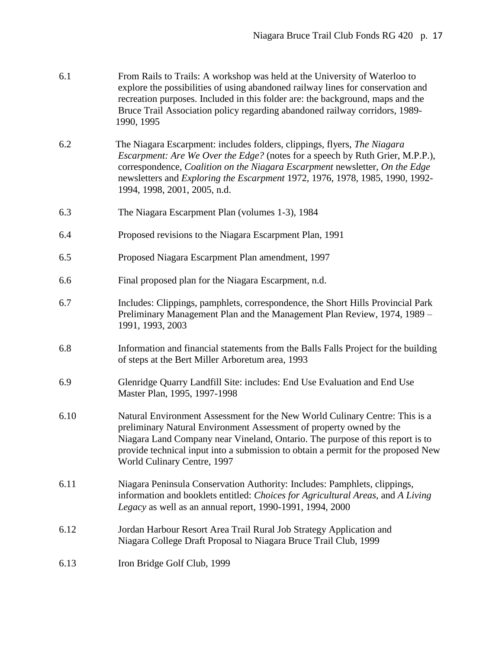| 6.1 | From Rails to Trails: A workshop was held at the University of Waterloo to<br>explore the possibilities of using abandoned railway lines for conservation and<br>recreation purposes. Included in this folder are: the background, maps and the<br>Bruce Trail Association policy regarding abandoned railway corridors, 1989-<br>1990, 1995                                  |
|-----|-------------------------------------------------------------------------------------------------------------------------------------------------------------------------------------------------------------------------------------------------------------------------------------------------------------------------------------------------------------------------------|
| 6.2 | The Niagara Escarpment: includes folders, clippings, flyers, <i>The Niagara</i><br>Escarpment: Are We Over the Edge? (notes for a speech by Ruth Grier, M.P.P.),<br>correspondence, <i>Coalition on the Niagara Escarpment</i> newsletter, <i>On the Edge</i><br>newsletters and Exploring the Escarpment 1972, 1976, 1978, 1985, 1990, 1992-<br>1994, 1998, 2001, 2005, n.d. |
| 6.3 | The Niagara Escarpment Plan (volumes 1-3), 1984                                                                                                                                                                                                                                                                                                                               |

- 6.4 Proposed revisions to the Niagara Escarpment Plan, 1991
- 6.5 Proposed Niagara Escarpment Plan amendment, 1997
- 6.6 Final proposed plan for the Niagara Escarpment, n.d.
- 6.7 Includes: Clippings, pamphlets, correspondence, the Short Hills Provincial Park Preliminary Management Plan and the Management Plan Review, 1974, 1989 – 1991, 1993, 2003
- 6.8 Information and financial statements from the Balls Falls Project for the building of steps at the Bert Miller Arboretum area, 1993
- 6.9 Glenridge Quarry Landfill Site: includes: End Use Evaluation and End Use Master Plan, 1995, 1997-1998
- 6.10 Natural Environment Assessment for the New World Culinary Centre: This is a preliminary Natural Environment Assessment of property owned by the Niagara Land Company near Vineland, Ontario. The purpose of this report is to provide technical input into a submission to obtain a permit for the proposed New World Culinary Centre, 1997
- 6.11 Niagara Peninsula Conservation Authority: Includes: Pamphlets, clippings, information and booklets entitled: *Choices for Agricultural Areas*, and *A Living Legacy* as well as an annual report, 1990-1991, 1994, 2000
- 6.12Jordan Harbour Resort Area Trail Rural Job Strategy Application and Niagara College Draft Proposal to Niagara Bruce Trail Club, 1999
- 6.13 Iron Bridge Golf Club, 1999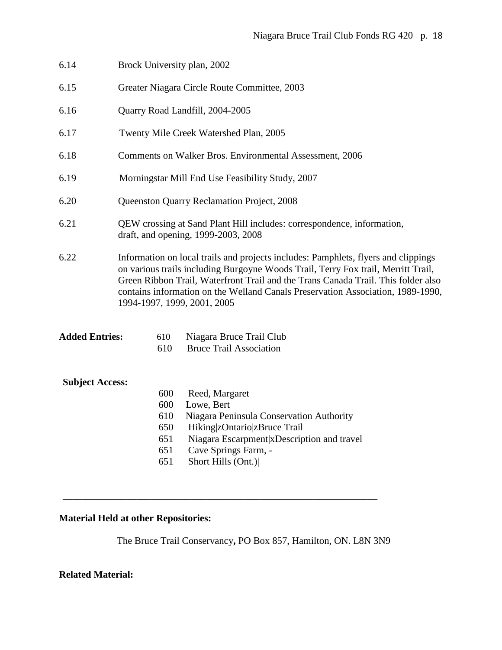| Brock University plan, 2002                                                                                                                                                                                                                                                                                                                                                    |                                                                                                                                                                                                       |  |  |  |
|--------------------------------------------------------------------------------------------------------------------------------------------------------------------------------------------------------------------------------------------------------------------------------------------------------------------------------------------------------------------------------|-------------------------------------------------------------------------------------------------------------------------------------------------------------------------------------------------------|--|--|--|
| Greater Niagara Circle Route Committee, 2003                                                                                                                                                                                                                                                                                                                                   |                                                                                                                                                                                                       |  |  |  |
| Quarry Road Landfill, 2004-2005                                                                                                                                                                                                                                                                                                                                                |                                                                                                                                                                                                       |  |  |  |
| Twenty Mile Creek Watershed Plan, 2005                                                                                                                                                                                                                                                                                                                                         |                                                                                                                                                                                                       |  |  |  |
| Comments on Walker Bros. Environmental Assessment, 2006                                                                                                                                                                                                                                                                                                                        |                                                                                                                                                                                                       |  |  |  |
| Morningstar Mill End Use Feasibility Study, 2007                                                                                                                                                                                                                                                                                                                               |                                                                                                                                                                                                       |  |  |  |
| Queenston Quarry Reclamation Project, 2008                                                                                                                                                                                                                                                                                                                                     |                                                                                                                                                                                                       |  |  |  |
| QEW crossing at Sand Plant Hill includes: correspondence, information,<br>draft, and opening, 1999-2003, 2008                                                                                                                                                                                                                                                                  |                                                                                                                                                                                                       |  |  |  |
| Information on local trails and projects includes: Pamphlets, flyers and clippings<br>on various trails including Burgoyne Woods Trail, Terry Fox trail, Merritt Trail,<br>Green Ribbon Trail, Waterfront Trail and the Trans Canada Trail. This folder also<br>contains information on the Welland Canals Preservation Association, 1989-1990,<br>1994-1997, 1999, 2001, 2005 |                                                                                                                                                                                                       |  |  |  |
| <b>Added Entries:</b><br>610<br>610                                                                                                                                                                                                                                                                                                                                            | Niagara Bruce Trail Club<br><b>Bruce Trail Association</b>                                                                                                                                            |  |  |  |
| <b>Subject Access:</b><br>600<br>600<br>610<br>650<br>651<br>651<br>651                                                                                                                                                                                                                                                                                                        | Reed, Margaret<br>Lowe, Bert<br>Niagara Peninsula Conservation Authority<br>Hiking zOntario zBruce Trail<br>Niagara Escarpment x Description and travel<br>Cave Springs Farm, -<br>Short Hills (Ont.) |  |  |  |
|                                                                                                                                                                                                                                                                                                                                                                                |                                                                                                                                                                                                       |  |  |  |

# **Material Held at other Repositories:**

The Bruce Trail Conservancy**,** PO Box 857, Hamilton, ON. L8N 3N9

\_\_\_\_\_\_\_\_\_\_\_\_\_\_\_\_\_\_\_\_\_\_\_\_\_\_\_\_\_\_\_\_\_\_\_\_\_\_\_\_\_\_\_\_\_\_\_\_\_\_\_\_\_\_\_\_\_\_\_\_\_\_\_\_

## **Related Material:**